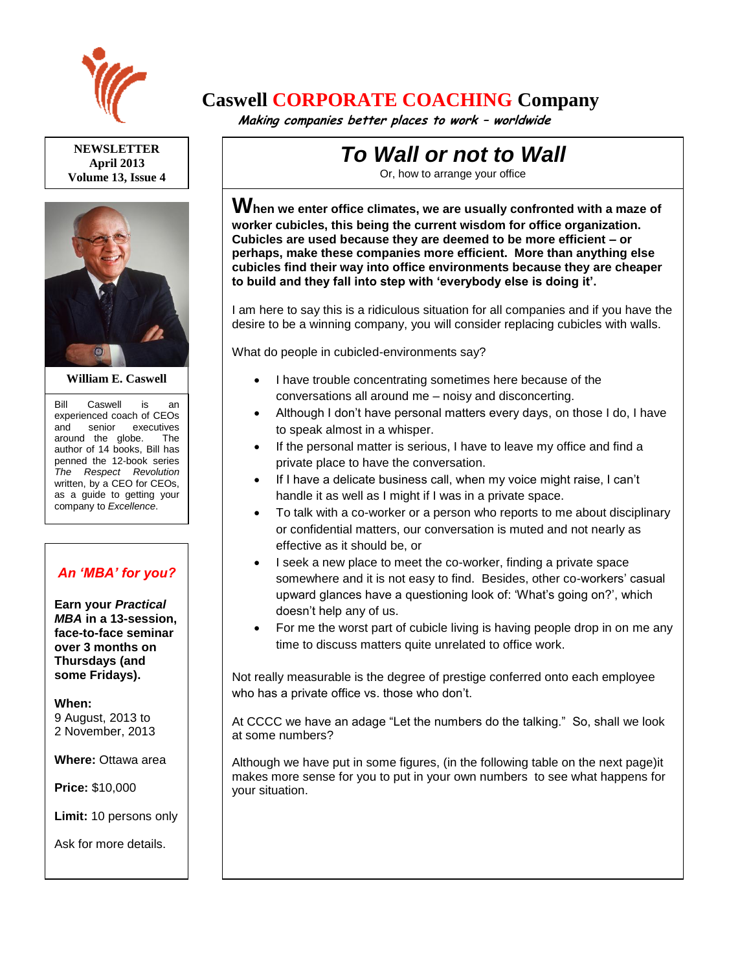

**NEWSLETTER April 2013 Volume 13, Issue 4**



#### **William E. Caswell**

Bill Caswell is an experienced coach of CEOs and senior executives around the globe. The author of 14 books, Bill has penned the 12-book series *The Respect Revolution* written, by a CEO for CEOs, as a guide to getting your company to *Excellence*.

## *An 'MBA' for you?*

**Earn your** *Practical MBA* **in a 13-session, face-to-face seminar over 3 months on Thursdays (and some Fridays).**

#### **When:**

9 August, 2013 to 2 November, 2013

**Where:** Ottawa area

**Price:** \$10,000

**Limit:** 10 persons only

Ask for more details.

## **Caswell CORPORATE COACHING Company**

 **Making companies better places to work – worldwide**

# *To Wall or not to Wall*

Or, how to arrange your office

**When we enter office climates, we are usually confronted with a maze of worker cubicles, this being the current wisdom for office organization. Cubicles are used because they are deemed to be more efficient – or perhaps, make these companies more efficient. More than anything else cubicles find their way into office environments because they are cheaper to build and they fall into step with 'everybody else is doing it'.** 

I am here to say this is a ridiculous situation for all companies and if you have the desire to be a winning company, you will consider replacing cubicles with walls.

What do people in cubicled-environments say?

- I have trouble concentrating sometimes here because of the conversations all around me – noisy and disconcerting.
- Although I don't have personal matters every days, on those I do, I have to speak almost in a whisper.
- If the personal matter is serious, I have to leave my office and find a private place to have the conversation.
- If I have a delicate business call, when my voice might raise, I can't handle it as well as I might if I was in a private space.
- To talk with a co-worker or a person who reports to me about disciplinary or confidential matters, our conversation is muted and not nearly as effective as it should be, or
- I seek a new place to meet the co-worker, finding a private space somewhere and it is not easy to find. Besides, other co-workers' casual upward glances have a questioning look of: 'What's going on?', which doesn't help any of us.
- For me the worst part of cubicle living is having people drop in on me any time to discuss matters quite unrelated to office work.

Not really measurable is the degree of prestige conferred onto each employee who has a private office vs. those who don't.

At CCCC we have an adage "Let the numbers do the talking." So, shall we look at some numbers?

Although we have put in some figures, (in the following table on the next page)it makes more sense for you to put in your own numbers to see what happens for your situation.